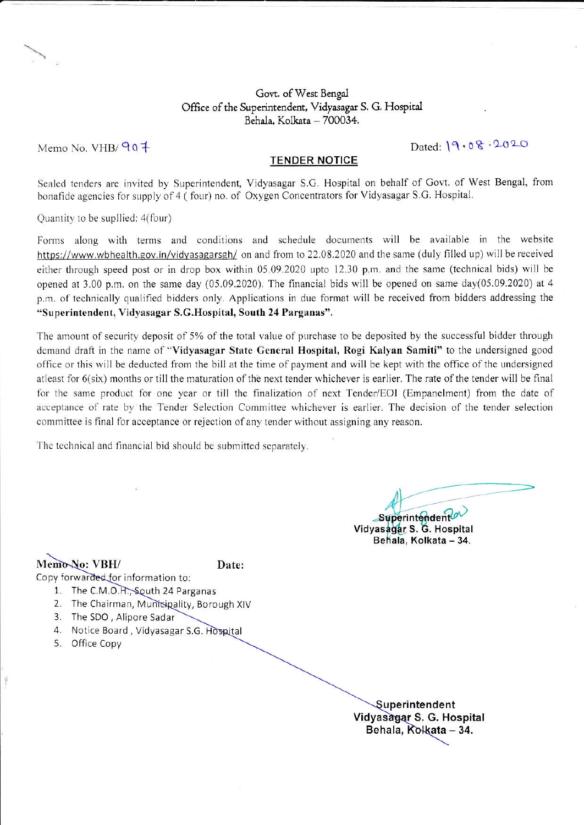#### Govt. of West Bengal Office of the Superintendent, Vidyasagar S. G. Hospital Behala, Kolkata - 700034.

Memo No. VHB/  $90 +$ 

Dated: 19.08.2020

#### TENDER NOTICE

Sealed tenders are invited by Superintendent, Vidyasagar S.G. Hospital on behalf of Govt. of West Bengal, from bonafide agencies for supply of 4 ( four) no. of Oxygen Concentrators for Vidyasagar S.G. Hospital.

Quantity to be supllied: 4(four)

Forms along with terms and conditions and schedule documents will be available in the website https://www.wbhealth.gov.in/vidyasagarsgh/ on and from to 22.08.2020 and the same (duly filled up) will be received either through speed post or in drop box within 05.09.2020 upto 12.30 p.m. and the same (technical bids) will be opened at 3.00 p.m. on the same day (05.09.2020). The financial bids will be opened on same day(05.09.2020) at 4 p.rn. of technically qualified bidders only. Applications in due format will be received from bidders addressing the "Superintendent, Vidyasagar S.G.Hospital, South 24 Parganas".

The amount of security deposit of 5% of the total value of purchase to be deposited by the successful bidder through demand draft in the name of "Vidyasagar State General Hospital, Rogi Kalyan Samiti" to the undersigned good office or this will be deducted from the bill at the time of payment and will be kept with the office of the undersigned atleast for  $6$ (six) months or till the maturation of the next tender whichever is earlier. The rate of the tender will be final for the same product for one year or till the finalization of next Tender/EOI (Empanelment) from the date of acceptance of rate by the Tender Selection Committee whichever is earlier. The decision of the tender selection committee is final for acceptance or rejection of any tender without assigning any reason.

The technical and financial bid should be submitted separately.

Superintendent

Vidyasagar S. G. Hospital Behala, Kolkata - 34.

## Memo-No: VBH/ Date:

- Copy forwarded for information to:
	- 1. The C.M.O.H., South 24 Parganas
	- 2. The Chairman, Municipality, Borough XIV
	- 3. The SDO , Allpore Sadar
	- 4. Notice Board, Vidyasagar S.G. Hospital
	- 5. Office Copy

Superintendent Vidyasagar S. G. Hospital Behala, Kolkata - 34.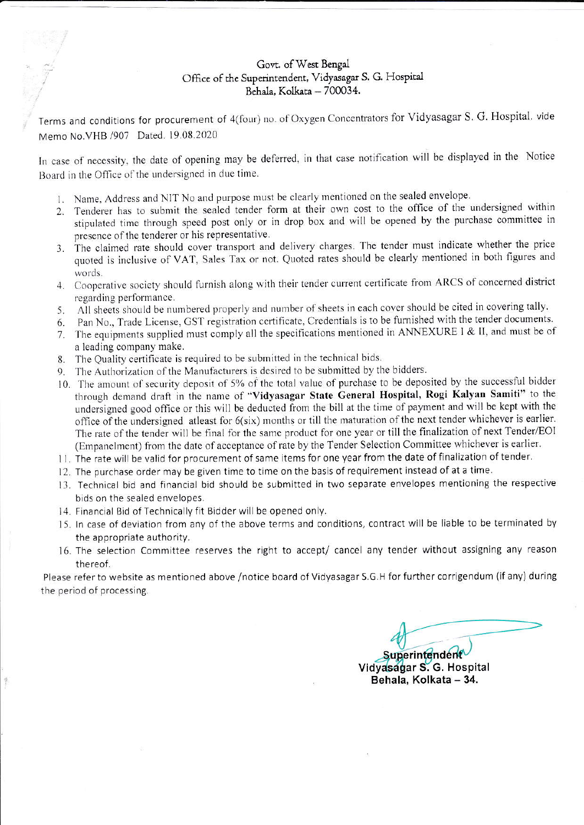## Govt. of West Bengal Office of the Superintendent, Vidyasagar S. G. Hospital Behala, Kolkata - 700034.

Terms and conditions for procurement of 4(four) no. of Oxygen Concentrators for Vidyasagar S. G. Hospital. vide Memo No. VHB /907 Dated. 19.08.2020

In case of necessity, the date of opening may be deferred, in that case notification will be displayed in the Notice Board in the Office of the undersigned in due time.

- 1. Name, Address and NIT No and purpose must be clearly mentioned on the sealed envelope.
- 2. Tenderer has to submit the sealed tender form at their own cost to the office of the undersigned within stipulated time through speed post only or in drop box and will be opened by the purchase committee in presence of the tenderer or his representative.
- 3. The claimed rate should cover transport and delivery charges. The tender must indicate whether the price quoted is inclusive of VAT, Sales Tax or not. Quoted rates should be clearly mentioned in both figures and words.
- 4. Cooperative society should furnish along with their tender current certificate from ARCS of concerned district regarding performance.
- 5. All sheets should be numbered properly and number of sheets in each cover should be cited in covering tally.
- 6. Pan No., Trade License, GST registration certificate, Credentials is to be furnished with the tender documents.
- 7. The equipments supplied must comply all the specifications mentioned in ANNEXURE I & II, and must be of a leading company make.
- 8. The Quality certificate is required to be submitted in the technical bids.
- 9. The Authorization of the Manufacturers is desired to be submitted by the bidders.
- 10. The amount of security deposit of 5% of the total value of purchase to be deposited by the successful bidder through demand draft in the name of "Vidyasagar State General Hospital, Rogi Kalyan Samiti" to the undersigned good office or this will be deducted from the bill at the time of payment and will be kept with the office of the undersigned atleast for 6(six) months or till the maturation of the next tender whichever is earlier. The rate of the tender will be final for the same product for one year or till the finalization of next Tender/EOI (Empanelment) from the date of acceptance of rate by the Tender Selection Committee whichever is earlier.
- 11. The rate will be valid for procurement of same items for one year from the date of finalization of tender.
- 12. The purchase order may be given time to time on the basis of requirement instead of at a time.
- 13. Technical bid and financial bid should be submitted in two separate envelopes mentioning the respective bids on the sealed envelopes.
- 14. Financial Bid of Technically fit Bidder will be opened only.
- 15. In case of deviation from any of the above terms and conditions, contract will be liable to be terminated by the appropriate authority.
- 16. The selection Committee reserves the right to accept/ cancel any tender without assigning any reason thereof.

Please refer to website as mentioned above /notice board of Vidyasagar S.G.H for further corrigendum (if any) during the period of processing.

Superintendent Vidyasagar S. G. Hospital Behala, Kolkata - 34.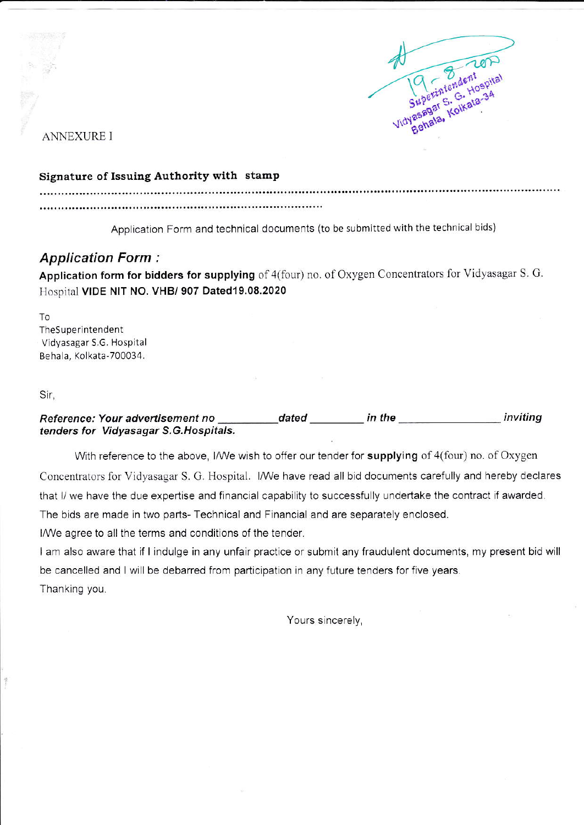

**ANNEXURE I** 

#### Signature of Issuing Authority with stamp

Application Form and technical documents (to be submitted with the technical bids)

# **Application Form:**

Application form for bidders for supplying of 4(four) no. of Oxygen Concentrators for Vidyasagar S. G. Hospital VIDE NIT NO. VHB/ 907 Dated19.08.2020

To TheSuperintendent Vidyasagar S.G. Hospital Behala, Kolkata-700034.

Sir,

Reference: Your advertisement no dated in the inviting tenders for Vidyasagar S.G. Hospitals.

With reference to the above, I/We wish to offer our tender for supplying of 4(four) no. of Oxygen Concentrators for Vidyasagar S. G. Hospital. I/We have read all bid documents carefully and hereby declares that I/ we have the due expertise and financial capability to successfully undertake the contract if awarded. The bids are made in two parts- Technical and Financial and are separately enclosed.

I/We agree to all the terms and conditions of the tender.

I am also aware that if I indulge in any unfair practice or submit any fraudulent documents, my present bid will be cancelled and I will be debarred from participation in any future tenders for five years. Thanking you.

Yours sincerely,